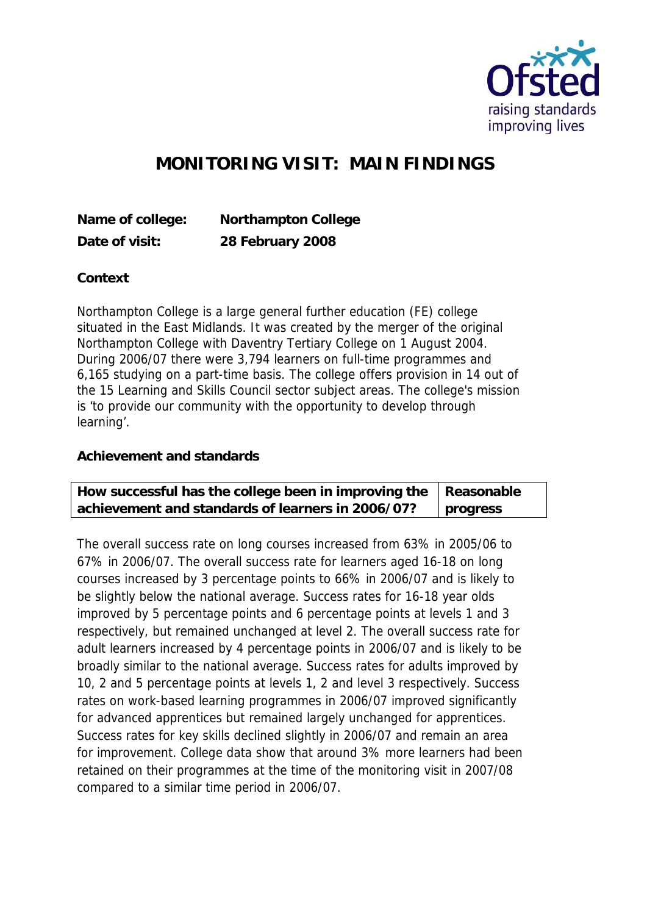

## **MONITORING VISIT: MAIN FINDINGS**

**Name of college: Northampton College Date of visit: 28 February 2008**

**Context**

Northampton College is a large general further education (FE) college situated in the East Midlands. It was created by the merger of the original Northampton College with Daventry Tertiary College on 1 August 2004. During 2006/07 there were 3,794 learners on full-time programmes and 6,165 studying on a part-time basis. The college offers provision in 14 out of the 15 Learning and Skills Council sector subject areas. The college's mission is 'to provide our community with the opportunity to develop through learning'.

**Achievement and standards** 

| How successful has the college been in improving the $ $ Reasonable |          |
|---------------------------------------------------------------------|----------|
| achievement and standards of learners in 2006/07?                   | progress |

The overall success rate on long courses increased from 63% in 2005/06 to 67% in 2006/07. The overall success rate for learners aged 16-18 on long courses increased by 3 percentage points to 66% in 2006/07 and is likely to be slightly below the national average. Success rates for 16-18 year olds improved by 5 percentage points and 6 percentage points at levels 1 and 3 respectively, but remained unchanged at level 2. The overall success rate for adult learners increased by 4 percentage points in 2006/07 and is likely to be broadly similar to the national average. Success rates for adults improved by 10, 2 and 5 percentage points at levels 1, 2 and level 3 respectively. Success rates on work-based learning programmes in 2006/07 improved significantly for advanced apprentices but remained largely unchanged for apprentices. Success rates for key skills declined slightly in 2006/07 and remain an area for improvement. College data show that around 3% more learners had been retained on their programmes at the time of the monitoring visit in 2007/08 compared to a similar time period in 2006/07.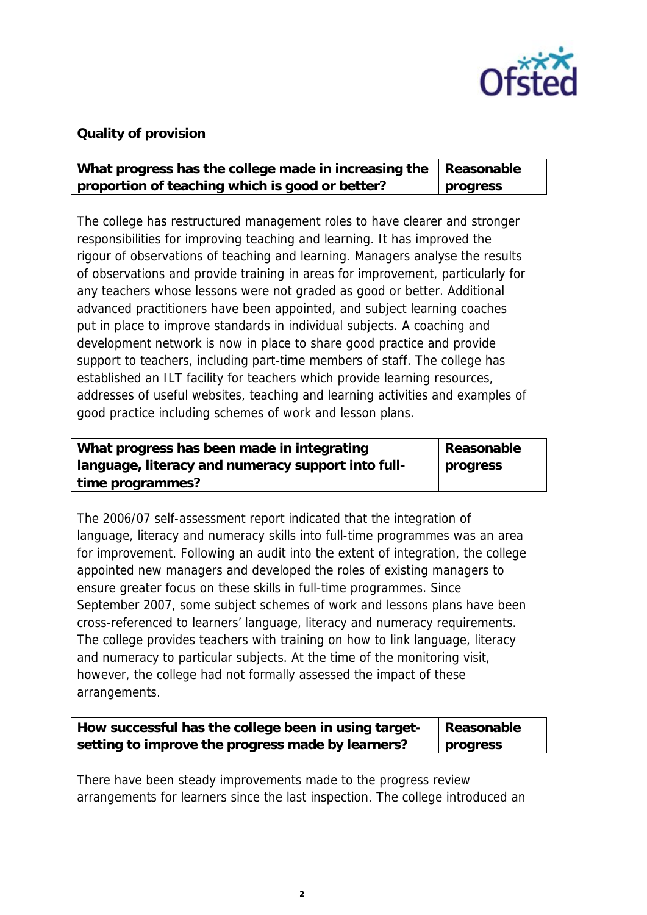

## **Quality of provision**

| What progress has the college made in increasing the   Reasonable |          |
|-------------------------------------------------------------------|----------|
| proportion of teaching which is good or better?                   | progress |

The college has restructured management roles to have clearer and stronger responsibilities for improving teaching and learning. It has improved the rigour of observations of teaching and learning. Managers analyse the results of observations and provide training in areas for improvement, particularly for any teachers whose lessons were not graded as good or better. Additional advanced practitioners have been appointed, and subject learning coaches put in place to improve standards in individual subjects. A coaching and development network is now in place to share good practice and provide support to teachers, including part-time members of staff. The college has established an ILT facility for teachers which provide learning resources, addresses of useful websites, teaching and learning activities and examples of good practice including schemes of work and lesson plans.

| What progress has been made in integrating         | Reasonable |
|----------------------------------------------------|------------|
| language, literacy and numeracy support into full- | progress   |
| time programmes?                                   |            |

The 2006/07 self-assessment report indicated that the integration of language, literacy and numeracy skills into full-time programmes was an area for improvement. Following an audit into the extent of integration, the college appointed new managers and developed the roles of existing managers to ensure greater focus on these skills in full-time programmes. Since September 2007, some subject schemes of work and lessons plans have been cross-referenced to learners' language, literacy and numeracy requirements. The college provides teachers with training on how to link language, literacy and numeracy to particular subjects. At the time of the monitoring visit, however, the college had not formally assessed the impact of these arrangements.

| How successful has the college been in using target- | Reasonable |
|------------------------------------------------------|------------|
| setting to improve the progress made by learners?    | progress   |

There have been steady improvements made to the progress review arrangements for learners since the last inspection. The college introduced an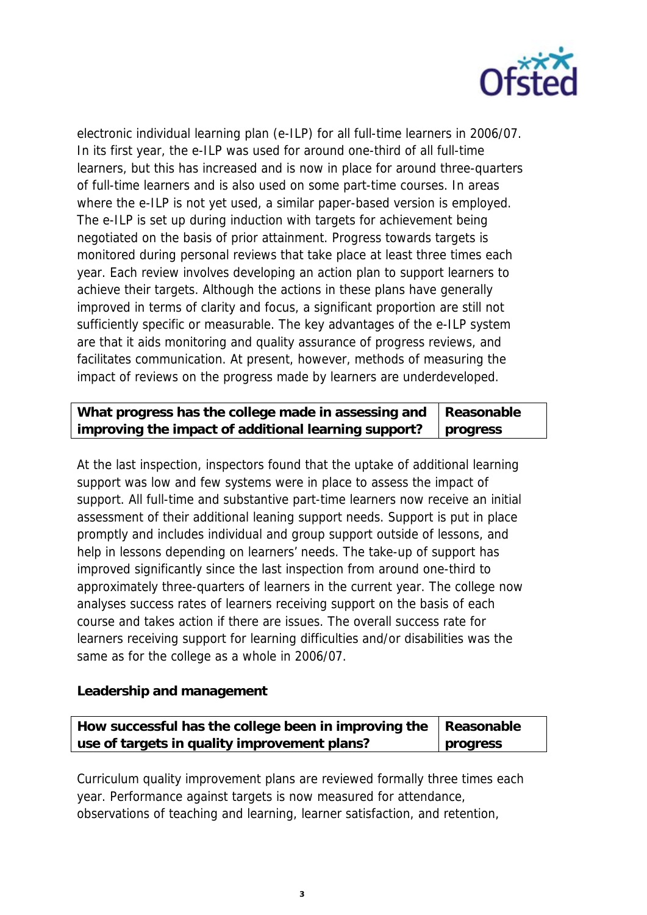

electronic individual learning plan (e-ILP) for all full-time learners in 2006/07. In its first year, the e-ILP was used for around one-third of all full-time learners, but this has increased and is now in place for around three-quarters of full-time learners and is also used on some part-time courses. In areas where the e-ILP is not yet used, a similar paper-based version is employed. The e-ILP is set up during induction with targets for achievement being negotiated on the basis of prior attainment. Progress towards targets is monitored during personal reviews that take place at least three times each year. Each review involves developing an action plan to support learners to achieve their targets. Although the actions in these plans have generally improved in terms of clarity and focus, a significant proportion are still not sufficiently specific or measurable. The key advantages of the e-ILP system are that it aids monitoring and quality assurance of progress reviews, and facilitates communication. At present, however, methods of measuring the impact of reviews on the progress made by learners are underdeveloped.

| What progress has the college made in assessing and   Reasonable     |  |
|----------------------------------------------------------------------|--|
| improving the impact of additional learning support? $\Box$ progress |  |

At the last inspection, inspectors found that the uptake of additional learning support was low and few systems were in place to assess the impact of support. All full-time and substantive part-time learners now receive an initial assessment of their additional leaning support needs. Support is put in place promptly and includes individual and group support outside of lessons, and help in lessons depending on learners' needs. The take-up of support has improved significantly since the last inspection from around one-third to approximately three-quarters of learners in the current year. The college now analyses success rates of learners receiving support on the basis of each course and takes action if there are issues. The overall success rate for learners receiving support for learning difficulties and/or disabilities was the same as for the college as a whole in 2006/07.

**Leadership and management**

| How successful has the college been in improving the   Reasonable |          |
|-------------------------------------------------------------------|----------|
| use of targets in quality improvement plans?                      | progress |

Curriculum quality improvement plans are reviewed formally three times each year. Performance against targets is now measured for attendance, observations of teaching and learning, learner satisfaction, and retention,